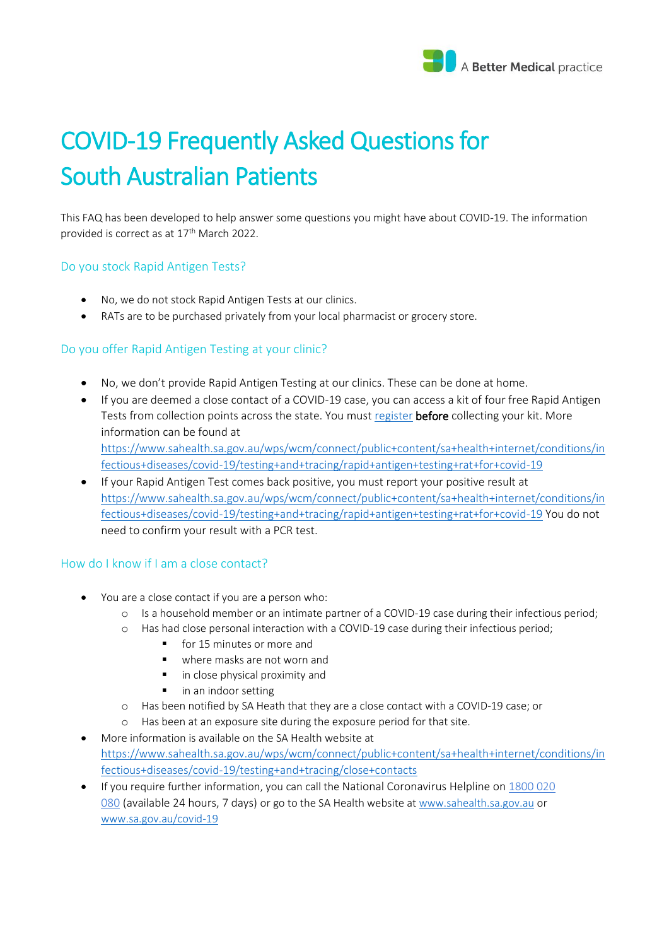

# COVID-19 Frequently Asked Questions for South Australian Patients

This FAQ has been developed to help answer some questions you might have about COVID-19. The information provided is correct as at 17<sup>th</sup> March 2022.

## Do you stock Rapid Antigen Tests?

- No, we do not stock Rapid Antigen Tests at our clinics.
- RATs are to be purchased privately from your local pharmacist or grocery store.

## Do you offer Rapid Antigen Testing at your clinic?

- No, we don't provide Rapid Antigen Testing at our clinics. These can be done at home.
- If you are deemed a close contact of a COVID-19 case, you can access a kit of four free Rapid Antigen Tests from collection points across the state. You mus[t register](https://forms.sa.gov.au/#/form/61cf9b13ad9c585790bfe20d/app/61e019114d4331899830e2f4) **before** collecting your kit. More information can be found at [https://www.sahealth.sa.gov.au/wps/wcm/connect/public+content/sa+health+internet/conditions/in](https://www.sahealth.sa.gov.au/wps/wcm/connect/public+content/sa+health+internet/conditions/infectious+diseases/covid-19/testing+and+tracing/rapid+antigen+testing+rat+for+covid-19) [fectious+diseases/covid-19/testing+and+tracing/rapid+antigen+testing+rat+for+covid-19](https://www.sahealth.sa.gov.au/wps/wcm/connect/public+content/sa+health+internet/conditions/infectious+diseases/covid-19/testing+and+tracing/rapid+antigen+testing+rat+for+covid-19)
- If your Rapid Antigen Test comes back positive, you must report your positive result at [https://www.sahealth.sa.gov.au/wps/wcm/connect/public+content/sa+health+internet/conditions/in](https://www.sahealth.sa.gov.au/wps/wcm/connect/public+content/sa+health+internet/conditions/infectious+diseases/covid-19/testing+and+tracing/rapid+antigen+testing+rat+for+covid-19) [fectious+diseases/covid-19/testing+and+tracing/rapid+antigen+testing+rat+for+covid-19](https://www.sahealth.sa.gov.au/wps/wcm/connect/public+content/sa+health+internet/conditions/infectious+diseases/covid-19/testing+and+tracing/rapid+antigen+testing+rat+for+covid-19) You do not need to confirm your result with a PCR test.

## How do I know if I am a close contact?

- You are a close contact if you are a person who:
	- o Is a household member or an intimate partner of a COVID-19 case during their infectious period;
	- o Has had close personal interaction with a COVID-19 case during their infectious period;
		- for 15 minutes or more and
		- where masks are not worn and
		- in close physical proximity and
		- in an indoor setting
	- o Has been notified by SA Heath that they are a close contact with a COVID-19 case; or
	- Has been at an exposure site during the exposure period for that site.
- More information is available on the SA Health website at [https://www.sahealth.sa.gov.au/wps/wcm/connect/public+content/sa+health+internet/conditions/in](https://www.sahealth.sa.gov.au/wps/wcm/connect/public+content/sa+health+internet/conditions/infectious+diseases/covid-19/testing+and+tracing/close+contacts) [fectious+diseases/covid-19/testing+and+tracing/close+contacts](https://www.sahealth.sa.gov.au/wps/wcm/connect/public+content/sa+health+internet/conditions/infectious+diseases/covid-19/testing+and+tracing/close+contacts)
- If you require further information, you can call the National Coronavirus Helpline on [1800 020](tel:1800020080)  [080](tel:1800020080) (available 24 hours, 7 days) or go to the SA Health website at [www.sahealth.sa.gov.au](https://l.facebook.com/l.php?u=http%3A%2F%2Fwww.sahealth.sa.gov.au%2F%3Ffbclid%3DIwAR3oyq5i7-bCADlimQfa1f6VAmdJ0sPchJqNzURazZFfqbqneZ8ZHj9HsDQ&h=AT0WikNFnbif-WGhPPanOd8ehrmCDfsIUhGypZPK4aw9vKYiciWPkQmu2912iWnPOFwy1NpV43ey57sSmEQBnE9QUL2vhK7Z3ZbRy8SCXxUEzwAQ4UbGxzeqeMzGg7WelA&__tn__=-UK-y-R&c%5b0%5d=AT0r4-EqlGVRLE593dpOSQ1qKyLxgK-CwJBJZFXdUO_hfi0tU791uAKgYrWmka92eeVym7ifN4jurjfEsISuODuSZFP197MDs7gjDAzJSSKAfE2SndBMu0P_Y_ZkSPeLdoDVWA5It8fry89SRyzq9fGL8CvXWdgVWVxS_MyQ3z6WaTIMpZVdJT_lhiBhVqhm5yYXUw) or [www.sa.gov.au/covid-19](http://www.sa.gov.au/covid-19?fbclid=IwAR1H9wxGJhgRHd2HJVCExmgQ3R0cgujnHtDFiWQQr-i1snVnxZ3LNQj68A8)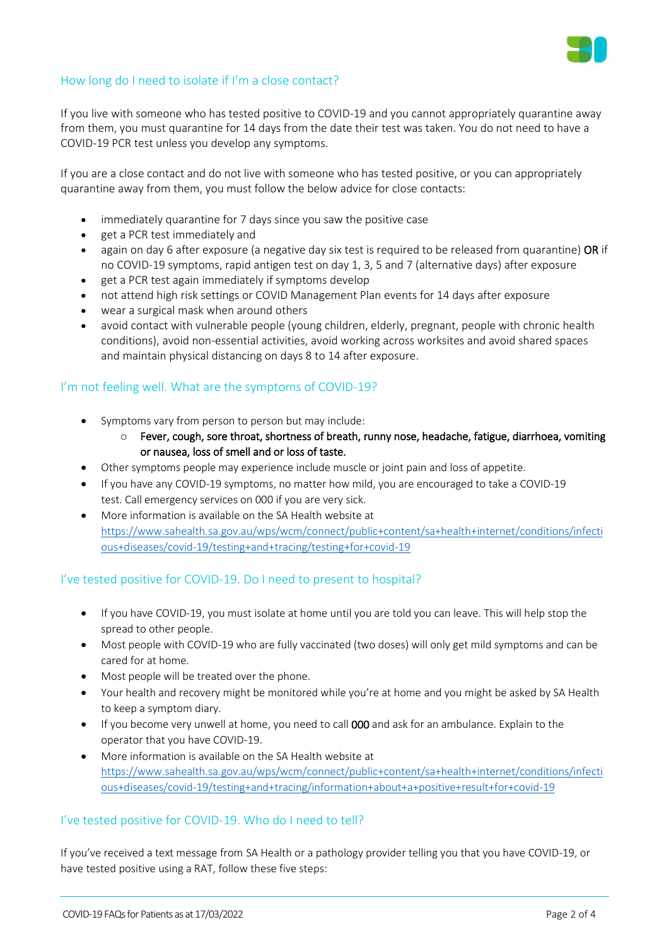

## How long do I need to isolate if I'm a close contact?

If you live with someone who has tested positive to COVID-19 and you cannot appropriately quarantine away from them, you must quarantine for 14 days from the date their test was taken. You do not need to have a COVID-19 PCR test unless you develop any symptoms.

If you are a close contact and do not live with someone who has tested positive, or you can appropriately quarantine away from them, you must follow the below advice for close contacts:

- immediately quarantine for 7 days since you saw the positive case
- get a PCR test immediately and
- again on day 6 after exposure (a negative day six test is required to be released from quarantine) OR if no COVID-19 symptoms, rapid antigen test on day 1, 3, 5 and 7 (alternative days) after exposure
- get a PCR test again immediately if symptoms develop
- not attend high risk settings or COVID Management Plan events for 14 days after exposure
- wear a surgical mask when around others
- avoid contact with vulnerable people (young children, elderly, pregnant, people with chronic health conditions), avoid non-essential activities, avoid working across worksites and avoid shared spaces and maintain physical distancing on days 8 to 14 after exposure.

## I'm not feeling well. What are the symptoms of COVID-19?

- Symptoms vary from person to person but may include:
	- o Fever, cough, sore throat, shortness of breath, runny nose, headache, fatigue, diarrhoea, vomiting or nausea, loss of smell and or loss of taste.
- Other symptoms people may experience include muscle or joint pain and loss of appetite.
- If you have any COVID-19 symptoms, no matter how mild, you are encouraged to take a COVID-19 test. Call emergency services on 000 if you are very sick.
- More information is available on the SA Health website at [https://www.sahealth.sa.gov.au/wps/wcm/connect/public+content/sa+health+internet/conditions/infecti](https://www.sahealth.sa.gov.au/wps/wcm/connect/public+content/sa+health+internet/conditions/infectious+diseases/covid-19/testing+and+tracing/testing+for+covid-19) [ous+diseases/covid-19/testing+and+tracing/testing+for+covid-19](https://www.sahealth.sa.gov.au/wps/wcm/connect/public+content/sa+health+internet/conditions/infectious+diseases/covid-19/testing+and+tracing/testing+for+covid-19)

## I've tested positive for COVID-19. Do I need to present to hospital?

- If you have COVID-19, you must isolate at home until you are told you can leave. This will help stop the spread to other people.
- Most people with COVID-19 who are fully vaccinated (two doses) will only get mild symptoms and can be cared for at home.
- Most people will be treated over the phone.
- Your health and recovery might be monitored while you're at home and you might be asked by SA Health to keep a symptom diary.
- If you become very unwell at home, you need to call 000 and ask for an ambulance. Explain to the operator that you have COVID-19.
- More information is available on the SA Health website at [https://www.sahealth.sa.gov.au/wps/wcm/connect/public+content/sa+health+internet/conditions/infecti](https://www.sahealth.sa.gov.au/wps/wcm/connect/public+content/sa+health+internet/conditions/infectious+diseases/covid-19/testing+and+tracing/information+about+a+positive+result+for+covid-19) [ous+diseases/covid-19/testing+and+tracing/information+about+a+positive+result+for+covid-19](https://www.sahealth.sa.gov.au/wps/wcm/connect/public+content/sa+health+internet/conditions/infectious+diseases/covid-19/testing+and+tracing/information+about+a+positive+result+for+covid-19)

## I've tested positive for COVID-19. Who do I need to tell?

If you've received a text message from SA Health or a pathology provider telling you that you have COVID-19, or have tested positive using a RAT, follow these five steps: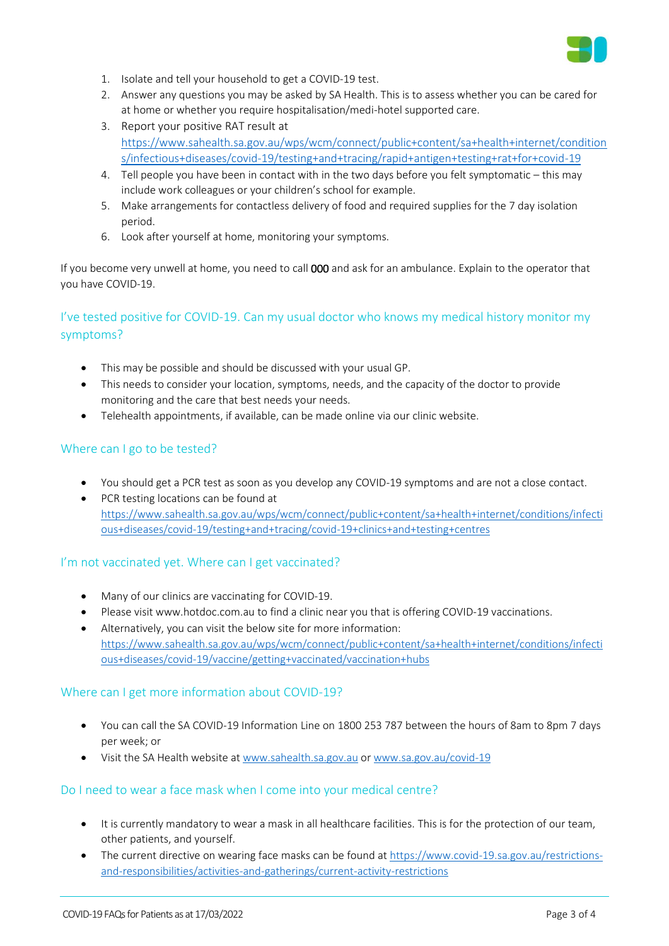

- 1. Isolate and tell your household to get a COVID-19 test.
- 2. Answer any questions you may be asked by SA Health. This is to assess whether you can be cared for at home or whether you require hospitalisation/medi-hotel supported care.
- 3. Report your positive RAT result at [https://www.sahealth.sa.gov.au/wps/wcm/connect/public+content/sa+health+internet/condition](https://www.sahealth.sa.gov.au/wps/wcm/connect/public+content/sa+health+internet/conditions/infectious+diseases/covid-19/testing+and+tracing/rapid+antigen+testing+rat+for+covid-19) [s/infectious+diseases/covid-19/testing+and+tracing/rapid+antigen+testing+rat+for+covid-19](https://www.sahealth.sa.gov.au/wps/wcm/connect/public+content/sa+health+internet/conditions/infectious+diseases/covid-19/testing+and+tracing/rapid+antigen+testing+rat+for+covid-19)
- 4. Tell people you have been in contact with in the two days before you felt symptomatic this may include work colleagues or your children's school for example.
- 5. Make arrangements for contactless delivery of food and required supplies for the 7 day isolation period.
- 6. Look after yourself at home, monitoring your symptoms.

If you become very unwell at home, you need to call 000 and ask for an ambulance. Explain to the operator that you have COVID-19.

# I've tested positive for COVID-19. Can my usual doctor who knows my medical history monitor my symptoms?

- This may be possible and should be discussed with your usual GP.
- This needs to consider your location, symptoms, needs, and the capacity of the doctor to provide monitoring and the care that best needs your needs.
- Telehealth appointments, if available, can be made online via our clinic website.

#### Where can I go to be tested?

- You should get a PCR test as soon as you develop any COVID-19 symptoms and are not a close contact.
- PCR testing locations can be found at [https://www.sahealth.sa.gov.au/wps/wcm/connect/public+content/sa+health+internet/conditions/infecti](https://www.sahealth.sa.gov.au/wps/wcm/connect/public+content/sa+health+internet/conditions/infectious+diseases/covid-19/testing+and+tracing/covid-19+clinics+and+testing+centres) [ous+diseases/covid-19/testing+and+tracing/covid-19+clinics+and+testing+centres](https://www.sahealth.sa.gov.au/wps/wcm/connect/public+content/sa+health+internet/conditions/infectious+diseases/covid-19/testing+and+tracing/covid-19+clinics+and+testing+centres)

## I'm not vaccinated yet. Where can I get vaccinated?

- Many of our clinics are vaccinating for COVID-19.
- Please visi[t www.hotdoc.com.au](http://www.hotdoc.com.au/) to find a clinic near you that is offering COVID-19 vaccinations.
- Alternatively, you can visit the below site for more information: [https://www.sahealth.sa.gov.au/wps/wcm/connect/public+content/sa+health+internet/conditions/infecti](https://www.sahealth.sa.gov.au/wps/wcm/connect/public+content/sa+health+internet/conditions/infectious+diseases/covid-19/vaccine/getting+vaccinated/vaccination+hubs) [ous+diseases/covid-19/vaccine/getting+vaccinated/vaccination+hubs](https://www.sahealth.sa.gov.au/wps/wcm/connect/public+content/sa+health+internet/conditions/infectious+diseases/covid-19/vaccine/getting+vaccinated/vaccination+hubs)

#### Where can I get more information about COVID-19?

- You can call the SA COVID-19 Information Line on 1800 253 787 between the hours of 8am to 8pm 7 days per week; or
- Visit the SA Health website at [www.sahealth.sa.gov.au](https://l.facebook.com/l.php?u=http%3A%2F%2Fwww.sahealth.sa.gov.au%2F%3Ffbclid%3DIwAR3oyq5i7-bCADlimQfa1f6VAmdJ0sPchJqNzURazZFfqbqneZ8ZHj9HsDQ&h=AT0WikNFnbif-WGhPPanOd8ehrmCDfsIUhGypZPK4aw9vKYiciWPkQmu2912iWnPOFwy1NpV43ey57sSmEQBnE9QUL2vhK7Z3ZbRy8SCXxUEzwAQ4UbGxzeqeMzGg7WelA&__tn__=-UK-y-R&c%5b0%5d=AT0r4-EqlGVRLE593dpOSQ1qKyLxgK-CwJBJZFXdUO_hfi0tU791uAKgYrWmka92eeVym7ifN4jurjfEsISuODuSZFP197MDs7gjDAzJSSKAfE2SndBMu0P_Y_ZkSPeLdoDVWA5It8fry89SRyzq9fGL8CvXWdgVWVxS_MyQ3z6WaTIMpZVdJT_lhiBhVqhm5yYXUw) o[r www.sa.gov.au/covid-19](http://www.sa.gov.au/covid-19?fbclid=IwAR1H9wxGJhgRHd2HJVCExmgQ3R0cgujnHtDFiWQQr-i1snVnxZ3LNQj68A8)

#### Do I need to wear a face mask when I come into your medical centre?

- It is currently mandatory to wear a mask in all healthcare facilities. This is for the protection of our team, other patients, and yourself.
- The current directive on wearing face masks can be found at [https://www.covid-19.sa.gov.au/restrictions](https://www.covid-19.sa.gov.au/restrictions-and-responsibilities/activities-and-gatherings/current-activity-restrictions)[and-responsibilities/activities-and-gatherings/current-activity-restrictions](https://www.covid-19.sa.gov.au/restrictions-and-responsibilities/activities-and-gatherings/current-activity-restrictions)